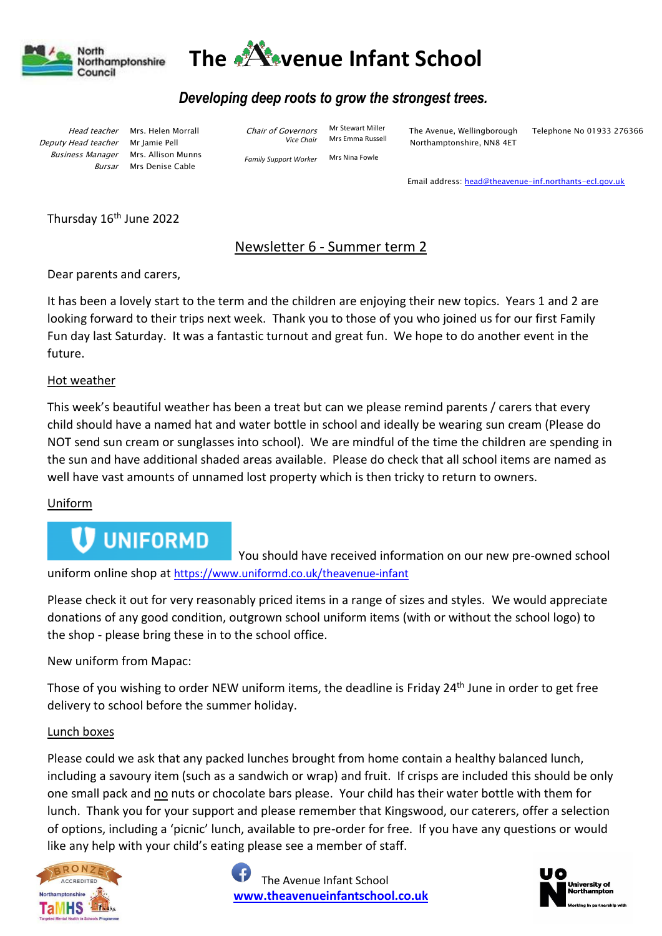



# *Developing deep roots to grow the strongest trees.*

 Head teacher Deputy Head teacher Business Manager

Bursar Mrs Denise Cable Mrs. Helen Morrall Mr Jamie Pell Mrs. Allison Munns Chair of Governors *Vice Chair*

*Family Support Worker* 

Mr Stewart Miller Mrs Emma Russell Mrs Nina Fowle

The Avenue, Wellingborough Northamptonshire, NN8 4ET

Telephone No 01933 276366

Email address: [head@theavenue-inf.northants-ecl.gov.uk](mailto:head@theavenue-inf.northants-ecl.gov.uk)

Thursday 16<sup>th</sup> June 2022

# Newsletter 6 - Summer term 2

Dear parents and carers,

It has been a lovely start to the term and the children are enjoying their new topics. Years 1 and 2 are looking forward to their trips next week. Thank you to those of you who joined us for our first Family Fun day last Saturday. It was a fantastic turnout and great fun. We hope to do another event in the future.

## Hot weather

This week's beautiful weather has been a treat but can we please remind parents / carers that every child should have a named hat and water bottle in school and ideally be wearing sun cream (Please do NOT send sun cream or sunglasses into school). We are mindful of the time the children are spending in the sun and have additional shaded areas available. Please do check that all school items are named as well have vast amounts of unnamed lost property which is then tricky to return to owners.

## Uniform

# **UNIFORMD**

 You should have received information on our new pre-owned school uniform online shop at <https://www.uniformd.co.uk/theavenue-infant>

Please check it out for very reasonably priced items in a range of sizes and styles. We would appreciate donations of any good condition, outgrown school uniform items (with or without the school logo) to the shop - please bring these in to the school office.

New uniform from Mapac:

Those of you wishing to order NEW uniform items, the deadline is Friday 24<sup>th</sup> June in order to get free delivery to school before the summer holiday.

## Lunch boxes

Please could we ask that any packed lunches brought from home contain a healthy balanced lunch, including a savoury item (such as a sandwich or wrap) and fruit. If crisps are included this should be only one small pack and no nuts or chocolate bars please. Your child has their water bottle with them for lunch. Thank you for your support and please remember that Kingswood, our caterers, offer a selection of options, including a 'picnic' lunch, available to pre-order for free. If you have any questions or would like any help with your child's eating please see a member of staff.